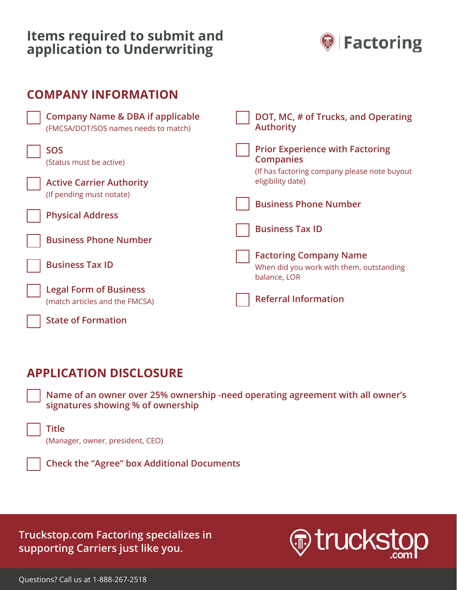# **Factoring Onboarding Checklist application to Underwriting Items required to submit and**



| <b>COMPANY INFORMATION</b>                                                          |                                                                                                            |
|-------------------------------------------------------------------------------------|------------------------------------------------------------------------------------------------------------|
| <b>Company Name &amp; DBA if applicable</b><br>(FMCSA/DOT/SOS names needs to match) | DOT, MC, # of Trucks, and Operating<br><b>Authority</b>                                                    |
| <b>SOS</b><br>(Status must be active)                                               | <b>Prior Experience with Factoring</b><br><b>Companies</b><br>(If has factoring company please note buyout |
| <b>Active Carrier Authority</b><br>(If pending must notate)                         | eligibility date)                                                                                          |
| <b>Physical Address</b>                                                             | <b>Business Phone Number</b>                                                                               |
| <b>Business Phone Number</b>                                                        | <b>Business Tax ID</b>                                                                                     |
| <b>Business Tax ID</b>                                                              | <b>Factoring Company Name</b><br>When did you work with them, outstanding<br>balance, LOR                  |
| <b>Legal Form of Business</b><br>(match articles and the FMCSA)                     | <b>Referral Information</b>                                                                                |
| <b>State of Formation</b>                                                           |                                                                                                            |

#### $F(\overline{O}N)$  discussed via mobile or email  $\overline{O}$ **APPLICATION DISCLOSURE**

signatures showing % of ownership **compared and review the review of ownership**  $\mathbf{r}$ **Name of an owner over 25% ownership -need operating agreement with all owner's** 

- **Title**  (Manager, owner, president, CEO)
- $C$ **Check the "Agree" box Additional Documents**

Truckstop.com Factoring specializes in **Truckstop.com Factoring specializes in**  supporting Carriers just like you. **supporting Carriers just like you.**